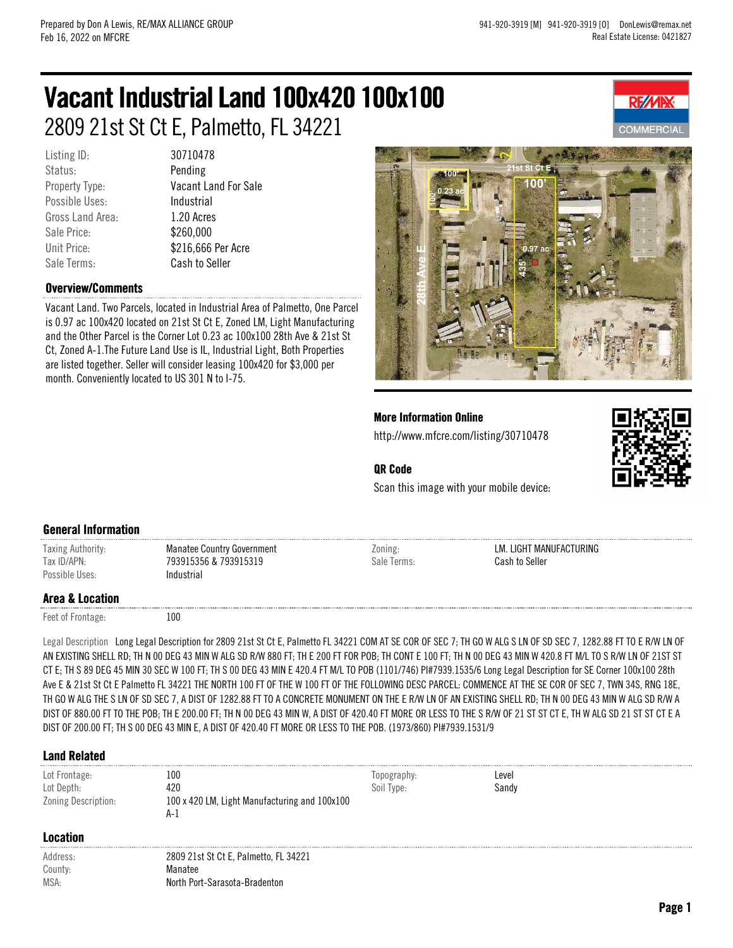# Vacant Industrial Land 100x420 100x100 2809 21st St Ct E, Palmetto, FL 34221

Listing ID: 30710478 Status: Pending Possible Uses: Industrial Gross Land Area: 1.20 Acres Sale Price: \$260,000 Sale Terms: Cash to Seller

Property Type: Vacant Land For Sale Unit Price:  $$216,666$  Per Acre

#### Overview/Comments

Vacant Land. Two Parcels, located in Industrial Area of Palmetto, One Parcel is 0.97 ac 100x420 located on 21st St Ct E, Zoned LM, Light Manufacturing and the Other Parcel is the Corner Lot 0.23 ac 100x100 28th Ave & 21st St Ct, Zoned A-1.The Future Land Use is IL, Industrial Light, Both Properties are listed together. Seller will consider leasing 100x420 for \$3,000 per month. Conveniently located to US 301 N to I-75.



More Information Online http://www.mfcre.com/listing/30710478



**RE/MI** 

## QR Code

Scan this image with your mobile device:

#### General Information

Taxing Authority: Manatee Country Government Tax ID/APN: 793915356 & 793915319 Possible Uses: Industrial

Zoning: LM. LIGHT MANUFACTURING Sale Terms: Cash to Seller

### Area & Location

Feet of Frontage: 100

Legal Description Long Legal Description for 2809 21st St Ct E, Palmetto FL 34221 COM AT SE COR OF SEC 7; TH GO W ALG S LN OF SD SEC 7, 1282.88 FT TO E R/W LN OF AN EXISTING SHELL RD; TH N 00 DEG 43 MIN W ALG SD R/W 880 FT; TH E 200 FT FOR POB; TH CONT E 100 FT; TH N 00 DEG 43 MIN W 420.8 FT M/L TO S R/W LN OF 21ST ST CT E; TH S 89 DEG 45 MIN 30 SEC W 100 FT; TH S 00 DEG 43 MIN E 420.4 FT M/L TO POB (1101/746) PI#7939.1535/6 Long Legal Description for SE Corner 100x100 28th Ave E & 21st St Ct E Palmetto FL 34221 THE NORTH 100 FT OF THE W 100 FT OF THE FOLLOWING DESC PARCEL: COMMENCE AT THE SE COR OF SEC 7, TWN 34S, RNG 18E, TH GO W ALG THE S LN OF SD SEC 7, A DIST OF 1282.88 FT TO A CONCRETE MONUMENT ON THE E R/W LN OF AN EXISTING SHELL RD; TH N 00 DEG 43 MIN W ALG SD R/W A DIST OF 880.00 FT TO THE POB; TH E 200.00 FT; TH N 00 DEG 43 MIN W, A DIST OF 420.40 FT MORE OR LESS TO THE S R/W OF 21 ST ST CT E, TH W ALG SD 21 ST ST CT E A DIST OF 200.00 FT; TH S 00 DEG 43 MIN E, A DIST OF 420.40 FT MORE OR LESS TO THE POB. (1973/860) PI#7939.1531/9

#### Land Related

| Lot Frontage:<br>Lot Depth:<br>Zoning Description: | 100<br>420<br>100 x 420 LM, Light Manufacturing and 100x100<br>A-l                | opography:<br>Soil Type: | Level<br>Sandv |
|----------------------------------------------------|-----------------------------------------------------------------------------------|--------------------------|----------------|
| Location                                           |                                                                                   |                          |                |
| Address:<br>County:<br>MSA:                        | 2809 21st St Ct E, Palmetto, FL 34221<br>Manatee<br>North Port-Sarasota-Bradenton |                          |                |